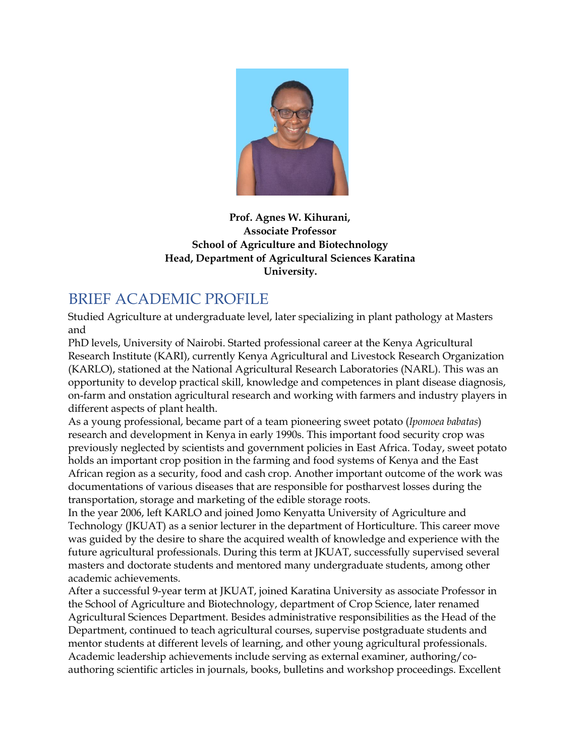

#### **Prof. Agnes W. Kihurani, Associate Professor School of Agriculture and Biotechnology Head, Department of Agricultural Sciences Karatina University.**

# BRIEF ACADEMIC PROFILE

Studied Agriculture at undergraduate level, later specializing in plant pathology at Masters and

PhD levels, University of Nairobi. Started professional career at the Kenya Agricultural Research Institute (KARI), currently Kenya Agricultural and Livestock Research Organization (KARLO), stationed at the National Agricultural Research Laboratories (NARL). This was an opportunity to develop practical skill, knowledge and competences in plant disease diagnosis, on-farm and onstation agricultural research and working with farmers and industry players in different aspects of plant health.

As a young professional, became part of a team pioneering sweet potato (*Ipomoea babatas*) research and development in Kenya in early 1990s. This important food security crop was previously neglected by scientists and government policies in East Africa. Today, sweet potato holds an important crop position in the farming and food systems of Kenya and the East African region as a security, food and cash crop. Another important outcome of the work was documentations of various diseases that are responsible for postharvest losses during the transportation, storage and marketing of the edible storage roots.

In the year 2006, left KARLO and joined Jomo Kenyatta University of Agriculture and Technology (JKUAT) as a senior lecturer in the department of Horticulture. This career move was guided by the desire to share the acquired wealth of knowledge and experience with the future agricultural professionals. During this term at JKUAT, successfully supervised several masters and doctorate students and mentored many undergraduate students, among other academic achievements.

After a successful 9-year term at JKUAT, joined Karatina University as associate Professor in the School of Agriculture and Biotechnology, department of Crop Science, later renamed Agricultural Sciences Department. Besides administrative responsibilities as the Head of the Department, continued to teach agricultural courses, supervise postgraduate students and mentor students at different levels of learning, and other young agricultural professionals. Academic leadership achievements include serving as external examiner, authoring/coauthoring scientific articles in journals, books, bulletins and workshop proceedings. Excellent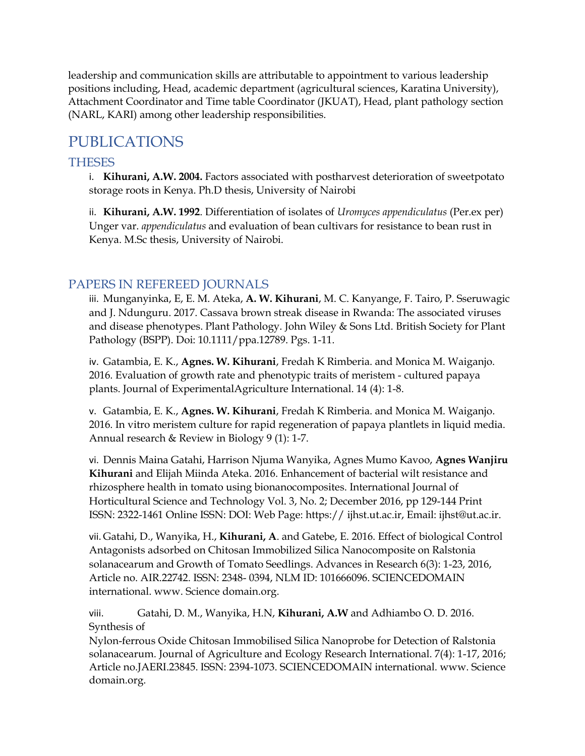leadership and communication skills are attributable to appointment to various leadership positions including, Head, academic department (agricultural sciences, Karatina University), Attachment Coordinator and Time table Coordinator (JKUAT), Head, plant pathology section (NARL, KARI) among other leadership responsibilities.

# PUBLICATIONS

#### THESES

i. **Kihurani, A.W. 2004.** Factors associated with postharvest deterioration of sweetpotato storage roots in Kenya. Ph.D thesis, University of Nairobi

ii. **Kihurani, A.W. 1992**. Differentiation of isolates of *Uromyces appendiculatus* (Per.ex per) Unger var. *appendiculatus* and evaluation of bean cultivars for resistance to bean rust in Kenya. M.Sc thesis, University of Nairobi.

### PAPERS IN REFEREED JOURNALS

iii. Munganyinka, E, E. M. Ateka, **A. W. Kihurani**, M. C. Kanyange, F. Tairo, P. Sseruwagic and J. Ndunguru. 2017. Cassava brown streak disease in Rwanda: The associated viruses and disease phenotypes. Plant Pathology. John Wiley & Sons Ltd. British Society for Plant Pathology (BSPP). Doi: 10.1111/ppa.12789. Pgs. 1-11.

iv. Gatambia, E. K., **Agnes. W. Kihurani**, Fredah K Rimberia. and Monica M. Waiganjo. 2016. Evaluation of growth rate and phenotypic traits of meristem - cultured papaya plants. Journal of ExperimentalAgriculture International. 14 (4): 1-8.

v. Gatambia, E. K., **Agnes. W. Kihurani**, Fredah K Rimberia. and Monica M. Waiganjo. 2016. In vitro meristem culture for rapid regeneration of papaya plantlets in liquid media. Annual research & Review in Biology 9 (1): 1-7.

vi. Dennis Maina Gatahi, Harrison Njuma Wanyika, Agnes Mumo Kavoo, **Agnes Wanjiru Kihurani** and Elijah Miinda Ateka. 2016. Enhancement of bacterial wilt resistance and rhizosphere health in tomato using bionanocomposites. International Journal of Horticultural Science and Technology Vol. 3, No. 2; December 2016, pp 129-144 Print ISSN: 2322-1461 Online ISSN: DOI: Web Page: https:// ijhst.ut.ac.ir, Email: ijhst@ut.ac.ir.

vii. Gatahi, D., Wanyika, H., **Kihurani, A**. and Gatebe, E. 2016. Effect of biological Control Antagonists adsorbed on Chitosan Immobilized Silica Nanocomposite on Ralstonia solanacearum and Growth of Tomato Seedlings. Advances in Research 6(3): 1-23, 2016, Article no. AIR.22742. ISSN: 2348- 0394, NLM ID: 101666096. SCIENCEDOMAIN international. www. Science domain.org.

viii. Gatahi, D. M., Wanyika, H.N, **Kihurani, A.W** and Adhiambo O. D. 2016. Synthesis of

Nylon-ferrous Oxide Chitosan Immobilised Silica Nanoprobe for Detection of Ralstonia solanacearum. Journal of Agriculture and Ecology Research International. 7(4): 1-17, 2016; Article no.JAERI.23845. ISSN: 2394-1073. SCIENCEDOMAIN international. www. Science domain.org.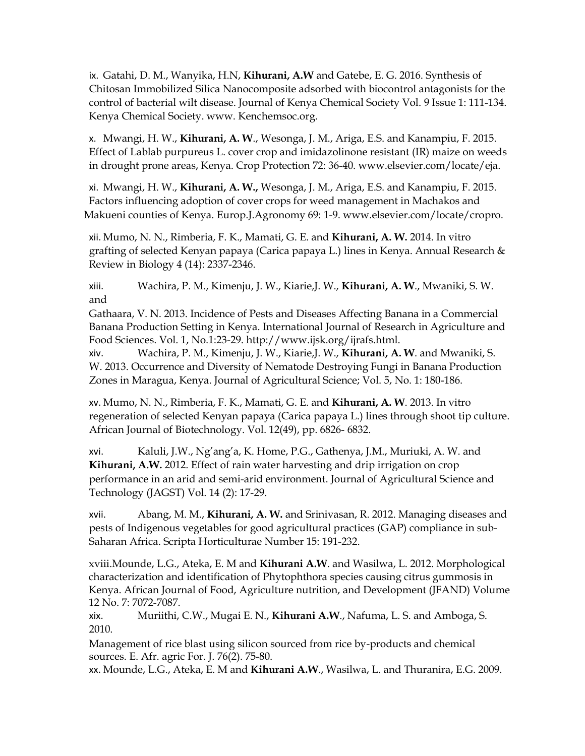ix. Gatahi, D. M., Wanyika, H.N, **Kihurani, A.W** and Gatebe, E. G. 2016. Synthesis of Chitosan Immobilized Silica Nanocomposite adsorbed with biocontrol antagonists for the control of bacterial wilt disease. Journal of Kenya Chemical Society Vol. 9 Issue 1: 111-134. Kenya Chemical Society. www. Kenchemsoc.org.

x. Mwangi, H. W., **Kihurani, A. W**., Wesonga, J. M., Ariga, E.S. and Kanampiu, F. 2015. Effect of Lablab purpureus L. cover crop and imidazolinone resistant (IR) maize on weeds in drought prone areas, Kenya. Crop Protection 72: 36-40. www.elsevier.com/locate/eja.

xi. Mwangi, H. W., **Kihurani, A. W.,** Wesonga, J. M., Ariga, E.S. and Kanampiu, F. 2015. Factors influencing adoption of cover crops for weed management in Machakos and Makueni counties of Kenya. Europ.J.Agronomy 69: 1-9. www.elsevier.com/locate/cropro.

xii. Mumo, N. N., Rimberia, F. K., Mamati, G. E. and **Kihurani, A. W.** 2014. In vitro grafting of selected Kenyan papaya (Carica papaya L.) lines in Kenya. Annual Research & Review in Biology 4 (14): 2337-2346.

xiii. Wachira, P. M., Kimenju, J. W., Kiarie,J. W., **Kihurani, A. W**., Mwaniki, S. W. and

Gathaara, V. N. 2013. Incidence of Pests and Diseases Affecting Banana in a Commercial Banana Production Setting in Kenya. International Journal of Research in Agriculture and Food Sciences. Vol. 1, No.1:23-29. http://www.ijsk.org/ijrafs.html.

xiv. Wachira, P. M., Kimenju, J. W., Kiarie,J. W., **Kihurani, A. W**. and Mwaniki, S. W. 2013. Occurrence and Diversity of Nematode Destroying Fungi in Banana Production Zones in Maragua, Kenya. Journal of Agricultural Science; Vol. 5, No. 1: 180-186.

xv. Mumo, N. N., Rimberia, F. K., Mamati, G. E. and **Kihurani, A. W**. 2013. In vitro regeneration of selected Kenyan papaya (Carica papaya L.) lines through shoot tip culture. African Journal of Biotechnology. Vol. 12(49), pp. 6826- 6832.

xvi. Kaluli, J.W., Ng'ang'a, K. Home, P.G., Gathenya, J.M., Muriuki, A. W. and **Kihurani, A.W.** 2012. Effect of rain water harvesting and drip irrigation on crop performance in an arid and semi-arid environment. Journal of Agricultural Science and Technology (JAGST) Vol. 14 (2): 17-29.

xvii. Abang, M. M., **Kihurani, A. W.** and Srinivasan, R. 2012. Managing diseases and pests of Indigenous vegetables for good agricultural practices (GAP) compliance in sub-Saharan Africa. Scripta Horticulturae Number 15: 191-232.

xviii.Mounde, L.G., Ateka, E. M and **Kihurani A.W**. and Wasilwa, L. 2012. Morphological characterization and identification of Phytophthora species causing citrus gummosis in Kenya. African Journal of Food, Agriculture nutrition, and Development (JFAND) Volume 12 No. 7: 7072-7087.

xix. Muriithi, C.W., Mugai E. N., **Kihurani A.W**., Nafuma, L. S. and Amboga, S. 2010.

Management of rice blast using silicon sourced from rice by-products and chemical sources. E. Afr. agric For. J. 76(2). 75-80.

xx. Mounde, L.G., Ateka, E. M and **Kihurani A.W**., Wasilwa, L. and Thuranira, E.G. 2009.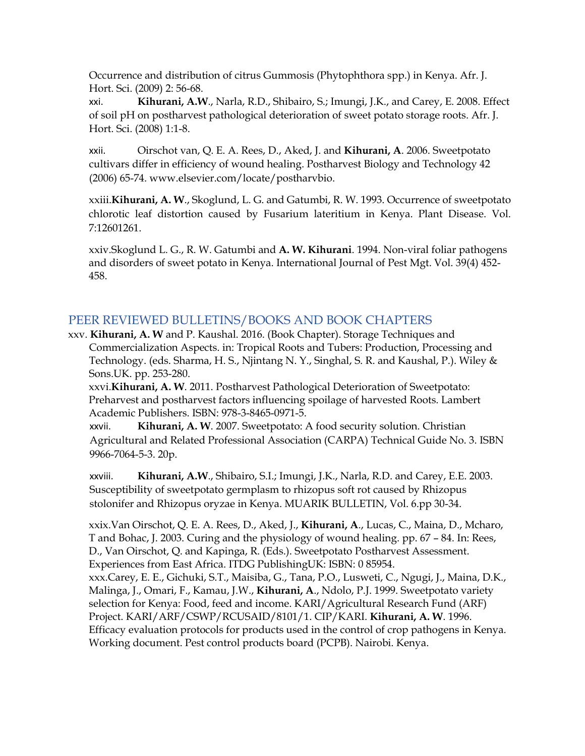Occurrence and distribution of citrus Gummosis (Phytophthora spp.) in Kenya. Afr. J. Hort. Sci. (2009) 2: 56-68.

xxi. **Kihurani, A.W**., Narla, R.D., Shibairo, S.; Imungi, J.K., and Carey, E. 2008. Effect of soil pH on postharvest pathological deterioration of sweet potato storage roots. Afr. J. Hort. Sci. (2008) 1:1-8.

xxii. Oirschot van, Q. E. A. Rees, D., Aked, J. and **Kihurani, A**. 2006. Sweetpotato cultivars differ in efficiency of wound healing. Postharvest Biology and Technology 42 (2006) 65-74. www.elsevier.com/locate/postharvbio.

xxiii.**Kihurani, A. W**., Skoglund, L. G. and Gatumbi, R. W. 1993. Occurrence of sweetpotato chlorotic leaf distortion caused by Fusarium lateritium in Kenya. Plant Disease. Vol. 7:12601261.

xxiv.Skoglund L. G., R. W. Gatumbi and **A. W. Kihurani**. 1994. Non-viral foliar pathogens and disorders of sweet potato in Kenya. International Journal of Pest Mgt. Vol. 39(4) 452- 458.

#### PEER REVIEWED BULLETINS/BOOKS AND BOOK CHAPTERS

xxv. **Kihurani, A. W** and P. Kaushal. 2016. (Book Chapter). Storage Techniques and Commercialization Aspects. in: Tropical Roots and Tubers: Production, Processing and Technology. (eds. Sharma, H. S., Njintang N. Y., Singhal, S. R. and Kaushal, P.). Wiley & Sons.UK. pp. 253-280.

xxvi.**Kihurani, A. W**. 2011. Postharvest Pathological Deterioration of Sweetpotato: Preharvest and postharvest factors influencing spoilage of harvested Roots. Lambert Academic Publishers. ISBN: 978-3-8465-0971-5.

xxvii. **Kihurani, A. W**. 2007. Sweetpotato: A food security solution. Christian Agricultural and Related Professional Association (CARPA) Technical Guide No. 3. ISBN 9966-7064-5-3. 20p.

xxviii. **Kihurani, A.W**., Shibairo, S.I.; Imungi, J.K., Narla, R.D. and Carey, E.E. 2003. Susceptibility of sweetpotato germplasm to rhizopus soft rot caused by Rhizopus stolonifer and Rhizopus oryzae in Kenya. MUARIK BULLETIN, Vol. 6.pp 30-34.

xxix.Van Oirschot, Q. E. A. Rees, D., Aked, J., **Kihurani, A**., Lucas, C., Maina, D., Mcharo, T and Bohac, J. 2003. Curing and the physiology of wound healing. pp. 67 – 84. In: Rees, D., Van Oirschot, Q. and Kapinga, R. (Eds.). Sweetpotato Postharvest Assessment. Experiences from East Africa. ITDG PublishingUK: ISBN: 0 85954. xxx.Carey, E. E., Gichuki, S.T., Maisiba, G., Tana, P.O., Lusweti, C., Ngugi, J., Maina, D.K., Malinga, J., Omari, F., Kamau, J.W., **Kihurani, A**., Ndolo, P.J. 1999. Sweetpotato variety selection for Kenya: Food, feed and income. KARI/Agricultural Research Fund (ARF) Project. KARI/ARF/CSWP/RCUSAID/8101/1. CIP/KARI. **Kihurani, A. W**. 1996. Efficacy evaluation protocols for products used in the control of crop pathogens in Kenya. Working document. Pest control products board (PCPB). Nairobi. Kenya.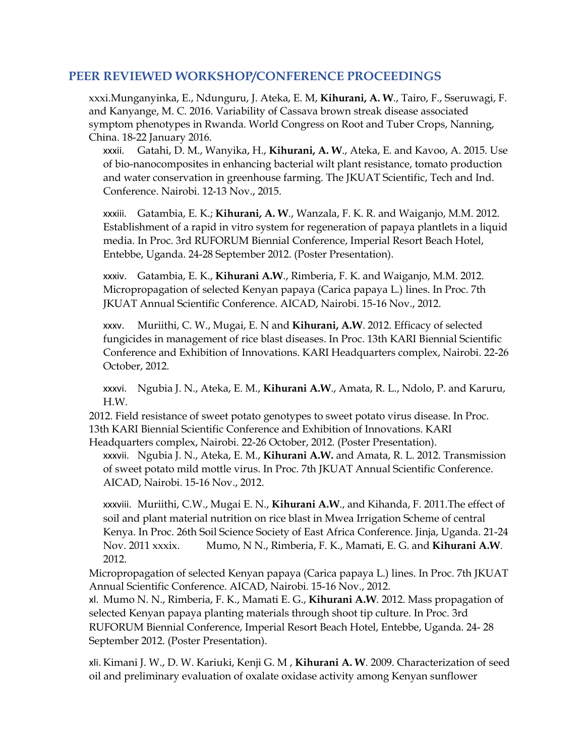#### **PEER REVIEWED WORKSHOP/CONFERENCE PROCEEDINGS**

xxxi.Munganyinka, E., Ndunguru, J. Ateka, E. M, **Kihurani, A. W**., Tairo, F., Sseruwagi, F. and Kanyange, M. C. 2016. Variability of Cassava brown streak disease associated symptom phenotypes in Rwanda. World Congress on Root and Tuber Crops, Nanning, China. 18-22 January 2016.

xxxii. Gatahi, D. M., Wanyika, H., **Kihurani, A. W**., Ateka, E. and Kavoo, A. 2015. Use of bio-nanocomposites in enhancing bacterial wilt plant resistance, tomato production and water conservation in greenhouse farming. The JKUAT Scientific, Tech and Ind. Conference. Nairobi. 12-13 Nov., 2015.

xxxiii. Gatambia, E. K.; **Kihurani, A. W**., Wanzala, F. K. R. and Waiganjo, M.M. 2012. Establishment of a rapid in vitro system for regeneration of papaya plantlets in a liquid media. In Proc. 3rd RUFORUM Biennial Conference, Imperial Resort Beach Hotel, Entebbe, Uganda. 24-28 September 2012. (Poster Presentation).

xxxiv. Gatambia, E. K., **Kihurani A.W**., Rimberia, F. K. and Waiganjo, M.M. 2012. Micropropagation of selected Kenyan papaya (Carica papaya L.) lines. In Proc. 7th JKUAT Annual Scientific Conference. AICAD, Nairobi. 15-16 Nov., 2012.

xxxv. Muriithi, C. W., Mugai, E. N and **Kihurani, A.W**. 2012. Efficacy of selected fungicides in management of rice blast diseases. In Proc. 13th KARI Biennial Scientific Conference and Exhibition of Innovations. KARI Headquarters complex, Nairobi. 22-26 October, 2012.

xxxvi. Ngubia J. N., Ateka, E. M., **Kihurani A.W**., Amata, R. L., Ndolo, P. and Karuru, H.W.

2012. Field resistance of sweet potato genotypes to sweet potato virus disease. In Proc. 13th KARI Biennial Scientific Conference and Exhibition of Innovations. KARI Headquarters complex, Nairobi. 22-26 October, 2012. (Poster Presentation).

xxxvii. Ngubia J. N., Ateka, E. M., **Kihurani A.W.** and Amata, R. L. 2012. Transmission of sweet potato mild mottle virus. In Proc. 7th JKUAT Annual Scientific Conference. AICAD, Nairobi. 15-16 Nov., 2012.

xxxviii. Muriithi, C.W., Mugai E. N., **Kihurani A.W**., and Kihanda, F. 2011.The effect of soil and plant material nutrition on rice blast in Mwea Irrigation Scheme of central Kenya. In Proc. 26th Soil Science Society of East Africa Conference. Jinja, Uganda. 21-24 Nov. 2011 xxxix. Mumo, N N., Rimberia, F. K., Mamati, E. G. and **Kihurani A.W**. 2012.

Micropropagation of selected Kenyan papaya (Carica papaya L.) lines. In Proc. 7th JKUAT Annual Scientific Conference. AICAD, Nairobi. 15-16 Nov., 2012.

xl. Mumo N. N., Rimberia, F. K., Mamati E. G., **Kihurani A.W**. 2012. Mass propagation of selected Kenyan papaya planting materials through shoot tip culture. In Proc. 3rd RUFORUM Biennial Conference, Imperial Resort Beach Hotel, Entebbe, Uganda. 24- 28 September 2012. (Poster Presentation).

xli. Kimani J. W., D. W. Kariuki, Kenji G. M , **Kihurani A. W**. 2009. Characterization of seed oil and preliminary evaluation of oxalate oxidase activity among Kenyan sunflower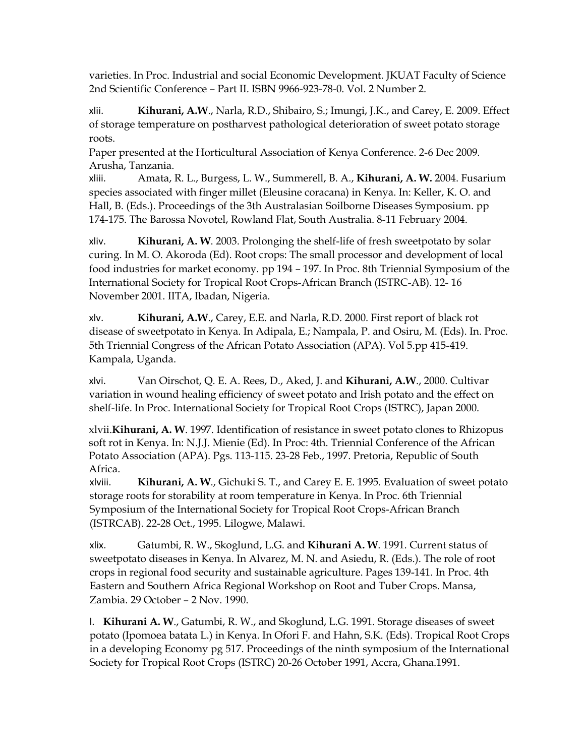varieties. In Proc. Industrial and social Economic Development. JKUAT Faculty of Science 2nd Scientific Conference – Part II. ISBN 9966-923-78-0. Vol. 2 Number 2.

xlii. **Kihurani, A.W**., Narla, R.D., Shibairo, S.; Imungi, J.K., and Carey, E. 2009. Effect of storage temperature on postharvest pathological deterioration of sweet potato storage roots.

Paper presented at the Horticultural Association of Kenya Conference. 2-6 Dec 2009. Arusha, Tanzania.

xliii. Amata, R. L., Burgess, L. W., Summerell, B. A., **Kihurani, A. W.** 2004. Fusarium species associated with finger millet (Eleusine coracana) in Kenya. In: Keller, K. O. and Hall, B. (Eds.). Proceedings of the 3th Australasian Soilborne Diseases Symposium. pp 174-175. The Barossa Novotel, Rowland Flat, South Australia. 8-11 February 2004.

xliv. **Kihurani, A. W**. 2003. Prolonging the shelf-life of fresh sweetpotato by solar curing. In M. O. Akoroda (Ed). Root crops: The small processor and development of local food industries for market economy. pp 194 – 197. In Proc. 8th Triennial Symposium of the International Society for Tropical Root Crops-African Branch (ISTRC-AB). 12- 16 November 2001. IITA, Ibadan, Nigeria.

xlv. **Kihurani, A.W**., Carey, E.E. and Narla, R.D. 2000. First report of black rot disease of sweetpotato in Kenya. In Adipala, E.; Nampala, P. and Osiru, M. (Eds). In. Proc. 5th Triennial Congress of the African Potato Association (APA). Vol 5.pp 415-419. Kampala, Uganda.

xlvi. Van Oirschot, Q. E. A. Rees, D., Aked, J. and **Kihurani, A.W**., 2000. Cultivar variation in wound healing efficiency of sweet potato and Irish potato and the effect on shelf-life. In Proc. International Society for Tropical Root Crops (ISTRC), Japan 2000.

xlvii.**Kihurani, A. W**. 1997. Identification of resistance in sweet potato clones to Rhizopus soft rot in Kenya. In: N.J.J. Mienie (Ed). In Proc: 4th. Triennial Conference of the African Potato Association (APA). Pgs. 113-115. 23-28 Feb., 1997. Pretoria, Republic of South Africa.

xlviii. **Kihurani, A. W**., Gichuki S. T., and Carey E. E. 1995. Evaluation of sweet potato storage roots for storability at room temperature in Kenya. In Proc. 6th Triennial Symposium of the International Society for Tropical Root Crops-African Branch (ISTRCAB). 22-28 Oct., 1995. Lilogwe, Malawi.

xlix. Gatumbi, R. W., Skoglund, L.G. and **Kihurani A. W**. 1991. Current status of sweetpotato diseases in Kenya. In Alvarez, M. N. and Asiedu, R. (Eds.). The role of root crops in regional food security and sustainable agriculture. Pages 139-141. In Proc. 4th Eastern and Southern Africa Regional Workshop on Root and Tuber Crops. Mansa, Zambia. 29 October – 2 Nov. 1990.

l. **Kihurani A. W**., Gatumbi, R. W., and Skoglund, L.G. 1991. Storage diseases of sweet potato (Ipomoea batata L.) in Kenya. In Ofori F. and Hahn, S.K. (Eds). Tropical Root Crops in a developing Economy pg 517. Proceedings of the ninth symposium of the International Society for Tropical Root Crops (ISTRC) 20-26 October 1991, Accra, Ghana.1991.